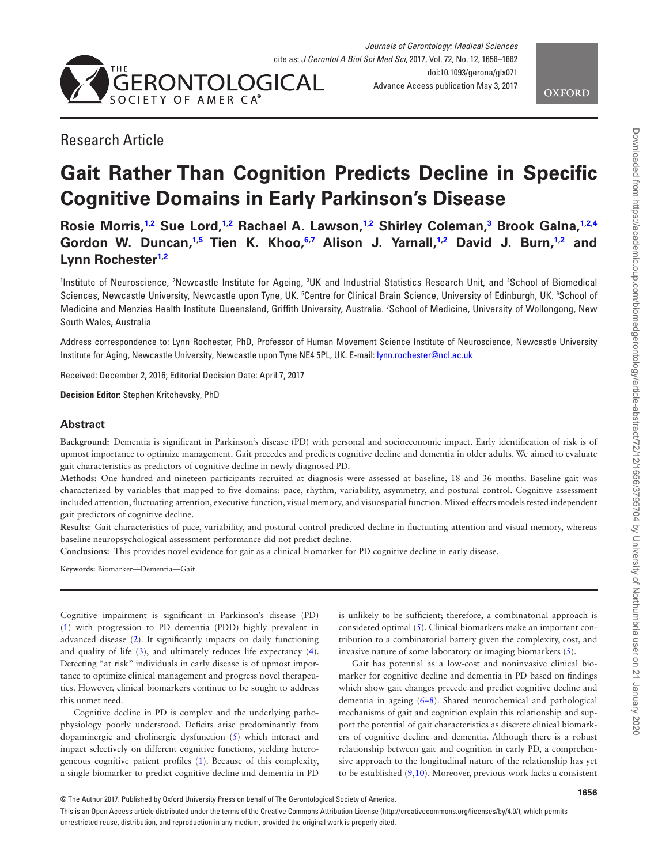

<span id="page-0-5"></span><span id="page-0-3"></span>

# Research Article

# **Gait Rather Than Cognition Predicts Decline in Specific Cognitive Domains in Early Parkinson's Disease**

**Rosie Morris,[1](#page-0-0)[,2](#page-0-1) Sue Lord,[1,](#page-0-0)[2](#page-0-1) Rachael A. Lawson[,1](#page-0-0)[,2](#page-0-1) Shirley Coleman[,3](#page-0-2) Brook Galna[,1,](#page-0-0)[2,](#page-0-1)[4](#page-0-3)** Gordon W. Duncan,<sup>1,[5](#page-0-4)</sup> Tien K. Khoo,<sup>6[,7](#page-0-6)</sup> Alison J. Yarnall,<sup>1[,2](#page-0-1)</sup> David J. Burn,<sup>1,2</sup> and **Lynn Rocheste[r1](#page-0-0)[,2](#page-0-1)**

<span id="page-0-6"></span><span id="page-0-4"></span><span id="page-0-2"></span><span id="page-0-1"></span><span id="page-0-0"></span>Institute of Neuroscience, 'Newcastle Institute for Ageing, <sup>3</sup>UK and Industrial Statistics Research Unit, and <sup>4</sup>School of Biomedical Sciences, Newcastle University, Newcastle upon Tyne, UK. 5Centre for Clinical Brain Science, University of Edinburgh, UK. 6School of Medicine and Menzies Health Institute Queensland, Griffith University, Australia. 7 School of Medicine, University of Wollongong, New South Wales, Australia

Address correspondence to: Lynn Rochester, PhD, Professor of Human Movement Science Institute of Neuroscience, Newcastle University Institute for Aging, Newcastle University, Newcastle upon Tyne NE4 5PL, UK. E-mail: [lynn.rochester@ncl.ac.uk](mailto:lynn.rochester@ncl.ac.uk?subject=)

Received: December 2, 2016; Editorial Decision Date: April 7, 2017

**Decision Editor:** Stephen Kritchevsky, PhD

#### **Abstract**

**Background:** Dementia is significant in Parkinson's disease (PD) with personal and socioeconomic impact. Early identification of risk is of upmost importance to optimize management. Gait precedes and predicts cognitive decline and dementia in older adults. We aimed to evaluate gait characteristics as predictors of cognitive decline in newly diagnosed PD.

**Methods:** One hundred and nineteen participants recruited at diagnosis were assessed at baseline, 18 and 36 months. Baseline gait was characterized by variables that mapped to five domains: pace, rhythm, variability, asymmetry, and postural control. Cognitive assessment included attention, fluctuating attention, executive function, visual memory, and visuospatial function. Mixed-effects models tested independent gait predictors of cognitive decline.

**Results:** Gait characteristics of pace, variability, and postural control predicted decline in fluctuating attention and visual memory, whereas baseline neuropsychological assessment performance did not predict decline.

**Conclusions:** This provides novel evidence for gait as a clinical biomarker for PD cognitive decline in early disease.

**Keywords:** Biomarker—Dementia—Gait

Cognitive impairment is significant in Parkinson's disease (PD) [\(1\)](#page-6-0) with progression to PD dementia (PDD) highly prevalent in advanced disease ([2\)](#page-6-1). It significantly impacts on daily functioning and quality of life [\(3\)](#page-6-2), and ultimately reduces life expectancy ([4](#page-6-3)). Detecting "at risk" individuals in early disease is of upmost importance to optimize clinical management and progress novel therapeutics. However, clinical biomarkers continue to be sought to address this unmet need.

Cognitive decline in PD is complex and the underlying pathophysiology poorly understood. Deficits arise predominantly from dopaminergic and cholinergic dysfunction [\(5\)](#page-6-4) which interact and impact selectively on different cognitive functions, yielding heterogeneous cognitive patient profiles [\(1\)](#page-6-0). Because of this complexity, a single biomarker to predict cognitive decline and dementia in PD is unlikely to be sufficient; therefore, a combinatorial approach is considered optimal ([5](#page-6-4)). Clinical biomarkers make an important contribution to a combinatorial battery given the complexity, cost, and invasive nature of some laboratory or imaging biomarkers [\(5\)](#page-6-4).

Gait has potential as a low-cost and noninvasive clinical biomarker for cognitive decline and dementia in PD based on findings which show gait changes precede and predict cognitive decline and dementia in ageing [\(6–8\)](#page-6-5). Shared neurochemical and pathological mechanisms of gait and cognition explain this relationship and support the potential of gait characteristics as discrete clinical biomarkers of cognitive decline and dementia. Although there is a robust relationship between gait and cognition in early PD, a comprehensive approach to the longitudinal nature of the relationship has yet to be established ([9](#page-6-6)[,10](#page-6-7)). Moreover, previous work lacks a consistent

**1656**

This is an Open Access article distributed under the terms of the Creative Commons Attribution License (http://creativecommons.org/licenses/by/4.0/), which permits unrestricted reuse, distribution, and reproduction in any medium, provided the original work is properly cited.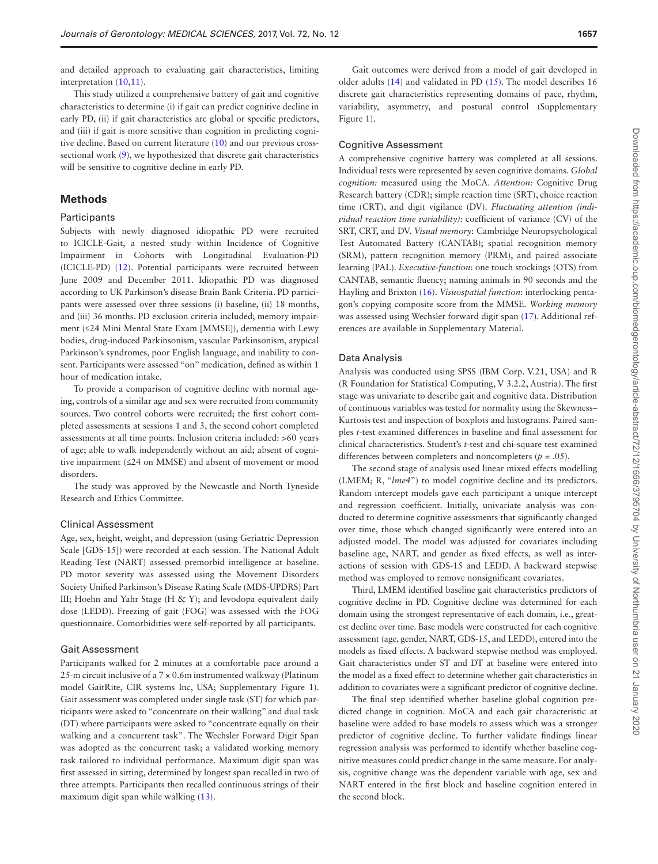Downloaded from https://academic.oup.com/biomedgerontology/article-abstract/72/1656/3795704 by University of Northumbria user on 21 January 2020 Downloaded from https://academic.oup.com/biomedgerontology/article-abstract/72/12/1656/3795704 by University of Northumbria user on 21 January 2020

and detailed approach to evaluating gait characteristics, limiting interpretation [\(10](#page-6-7)[,11](#page-6-8)).

This study utilized a comprehensive battery of gait and cognitive characteristics to determine (i) if gait can predict cognitive decline in early PD, (ii) if gait characteristics are global or specific predictors, and (iii) if gait is more sensitive than cognition in predicting cognitive decline. Based on current literature [\(10](#page-6-7)) and our previous cross-sectional work [\(9\)](#page-6-6), we hypothesized that discrete gait characteristics will be sensitive to cognitive decline in early PD.

# **Methods**

#### **Participants**

Subjects with newly diagnosed idiopathic PD were recruited to ICICLE-Gait, a nested study within Incidence of Cognitive Impairment in Cohorts with Longitudinal Evaluation-PD (ICICLE-PD) ([12\)](#page-6-9). Potential participants were recruited between June 2009 and December 2011. Idiopathic PD was diagnosed according to UK Parkinson's disease Brain Bank Criteria. PD participants were assessed over three sessions (i) baseline, (ii) 18 months, and (iii) 36 months. PD exclusion criteria included; memory impairment (≤24 Mini Mental State Exam [MMSE]), dementia with Lewy bodies, drug-induced Parkinsonism, vascular Parkinsonism, atypical Parkinson's syndromes, poor English language, and inability to consent. Participants were assessed "on" medication, defined as within 1 hour of medication intake.

To provide a comparison of cognitive decline with normal ageing, controls of a similar age and sex were recruited from community sources. Two control cohorts were recruited; the first cohort completed assessments at sessions 1 and 3, the second cohort completed assessments at all time points. Inclusion criteria included: >60 years of age; able to walk independently without an aid; absent of cognitive impairment (≤24 on MMSE) and absent of movement or mood disorders.

The study was approved by the Newcastle and North Tyneside Research and Ethics Committee.

#### Clinical Assessment

Age, sex, height, weight, and depression (using Geriatric Depression Scale [GDS-15]) were recorded at each session. The National Adult Reading Test (NART) assessed premorbid intelligence at baseline. PD motor severity was assessed using the Movement Disorders Society Unified Parkinson's Disease Rating Scale (MDS-UPDRS) Part III; Hoehn and Yahr Stage (H & Y); and levodopa equivalent daily dose (LEDD). Freezing of gait (FOG) was assessed with the FOG questionnaire. Comorbidities were self-reported by all participants.

#### Gait Assessment

Participants walked for 2 minutes at a comfortable pace around a 25-m circuit inclusive of a  $7 \times 0.6$ m instrumented walkway (Platinum model GaitRite, CIR systems Inc, USA; Supplementary Figure 1). Gait assessment was completed under single task (ST) for which participants were asked to "concentrate on their walking" and dual task (DT) where participants were asked to "concentrate equally on their walking and a concurrent task". The Wechsler Forward Digit Span was adopted as the concurrent task; a validated working memory task tailored to individual performance. Maximum digit span was first assessed in sitting, determined by longest span recalled in two of three attempts. Participants then recalled continuous strings of their maximum digit span while walking [\(13](#page-6-10)).

Gait outcomes were derived from a model of gait developed in older adults [\(14](#page-6-11)) and validated in PD [\(15](#page-6-12)). The model describes 16 discrete gait characteristics representing domains of pace, rhythm, variability, asymmetry, and postural control (Supplementary Figure 1).

#### Cognitive Assessment

A comprehensive cognitive battery was completed at all sessions. Individual tests were represented by seven cognitive domains. *Global cognition:* measured using the MoCA. *Attention:* Cognitive Drug Research battery (CDR); simple reaction time (SRT), choice reaction time (CRT), and digit vigilance (DV). *Fluctuating attention (individual reaction time variability):* coefficient of variance (CV) of the SRT, CRT, and DV. *Visual memory*: Cambridge Neuropsychological Test Automated Battery (CANTAB); spatial recognition memory (SRM), pattern recognition memory (PRM), and paired associate learning (PAL). *Executive-function*: one touch stockings (OTS) from CANTAB, semantic fluency; naming animals in 90 seconds and the Hayling and Brixton [\(16](#page-6-13)). *Visuospatial function*: interlocking pentagon's copying composite score from the MMSE. *Working memory* was assessed using Wechsler forward digit span [\(17](#page-6-14)). Additional references are available in Supplementary Material.

#### Data Analysis

Analysis was conducted using SPSS (IBM Corp. V.21, USA) and R (R Foundation for Statistical Computing, V 3.2.2, Austria). The first stage was univariate to describe gait and cognitive data. Distribution of continuous variables was tested for normality using the Skewness– Kurtosis test and inspection of boxplots and histograms. Paired samples *t*-test examined differences in baseline and final assessment for clinical characteristics. Student's *t*-test and chi-square test examined differences between completers and noncompleters (*p* = .05).

The second stage of analysis used linear mixed effects modelling (LMEM; R, "*lme4*") to model cognitive decline and its predictors. Random intercept models gave each participant a unique intercept and regression coefficient. Initially, univariate analysis was conducted to determine cognitive assessments that significantly changed over time, those which changed significantly were entered into an adjusted model. The model was adjusted for covariates including baseline age, NART, and gender as fixed effects, as well as interactions of session with GDS-15 and LEDD. A backward stepwise method was employed to remove nonsignificant covariates.

Third, LMEM identified baseline gait characteristics predictors of cognitive decline in PD. Cognitive decline was determined for each domain using the strongest representative of each domain, i.e., greatest decline over time. Base models were constructed for each cognitive assessment (age, gender, NART, GDS-15, and LEDD), entered into the models as fixed effects. A backward stepwise method was employed. Gait characteristics under ST and DT at baseline were entered into the model as a fixed effect to determine whether gait characteristics in addition to covariates were a significant predictor of cognitive decline.

The final step identified whether baseline global cognition predicted change in cognition. MoCA and each gait characteristic at baseline were added to base models to assess which was a stronger predictor of cognitive decline. To further validate findings linear regression analysis was performed to identify whether baseline cognitive measures could predict change in the same measure. For analysis, cognitive change was the dependent variable with age, sex and NART entered in the first block and baseline cognition entered in the second block.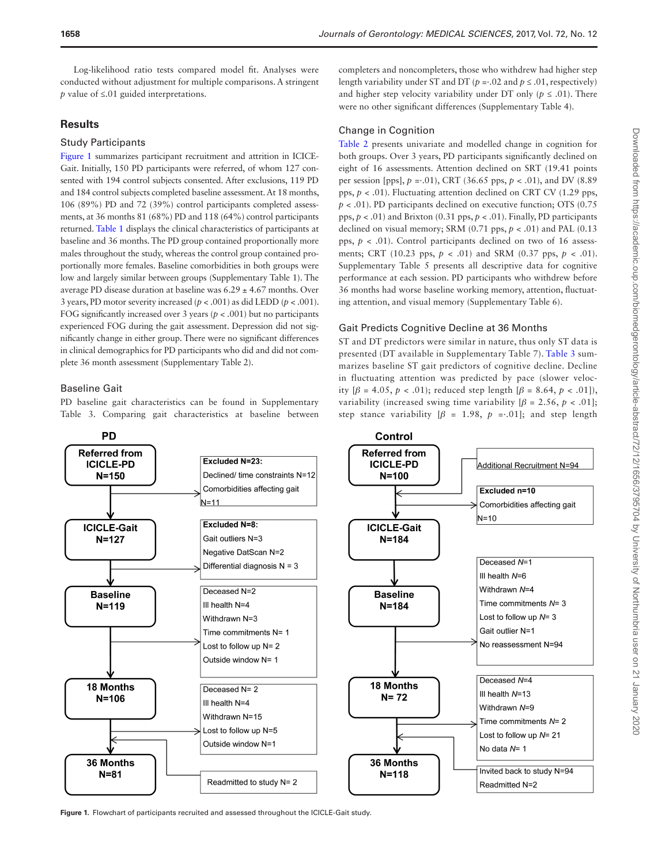Log-likelihood ratio tests compared model fit. Analyses were conducted without adjustment for multiple comparisons. A stringent *p* value of ≤.01 guided interpretations.

# **Results**

### Study Participants

[Figure 1](#page-2-0) summarizes participant recruitment and attrition in ICICE-Gait. Initially, 150 PD participants were referred, of whom 127 consented with 194 control subjects consented. After exclusions, 119 PD and 184 control subjects completed baseline assessment. At 18 months, 106 (89%) PD and 72 (39%) control participants completed assessments, at 36 months 81 (68%) PD and 118 (64%) control participants returned. [Table 1](#page-3-0) displays the clinical characteristics of participants at baseline and 36 months. The PD group contained proportionally more males throughout the study, whereas the control group contained proportionally more females. Baseline comorbidities in both groups were low and largely similar between groups (Supplementary Table 1). The average PD disease duration at baseline was  $6.29 \pm 4.67$  months. Over 3 years, PD motor severity increased  $(p < .001)$  as did LEDD  $(p < .001)$ . FOG significantly increased over 3 years ( $p < .001$ ) but no participants experienced FOG during the gait assessment. Depression did not significantly change in either group. There were no significant differences in clinical demographics for PD participants who did and did not complete 36 month assessment (Supplementary Table 2).

# Baseline Gait

PD baseline gait characteristics can be found in Supplementary Table 3. Comparing gait characteristics at baseline between completers and noncompleters, those who withdrew had higher step length variability under ST and DT ( $p = .02$  and  $p \le .01$ , respectively) and higher step velocity variability under DT only ( $p \leq .01$ ). There were no other significant differences (Supplementary Table 4).

# Change in Cognition

[Table 2](#page-4-0) presents univariate and modelled change in cognition for both groups. Over 3 years, PD participants significantly declined on eight of 16 assessments. Attention declined on SRT (19.41 points per session [pps], *p* =·.01), CRT (36.65 pps, *p* < .01), and DV (8.89 pps, *p* < .01). Fluctuating attention declined on CRT CV (1.29 pps, *p* < .01). PD participants declined on executive function; OTS (0.75 pps,  $p < .01$ ) and Brixton (0.31 pps,  $p < .01$ ). Finally, PD participants declined on visual memory; SRM  $(0.71 \text{ pps}, p < .01)$  and PAL  $(0.13 \text{ pps})$ pps,  $p < .01$ ). Control participants declined on two of 16 assessments; CRT (10.23 pps,  $p < .01$ ) and SRM (0.37 pps,  $p < .01$ ). Supplementary Table 5 presents all descriptive data for cognitive performance at each session. PD participants who withdrew before 36 months had worse baseline working memory, attention, fluctuating attention, and visual memory (Supplementary Table 6).

# Gait Predicts Cognitive Decline at 36 Months

ST and DT predictors were similar in nature, thus only ST data is presented (DT available in Supplementary Table 7). [Table 3](#page-5-0) summarizes baseline ST gait predictors of cognitive decline. Decline in fluctuating attention was predicted by pace (slower velocity [*β* = 4.05, *p* < .01); reduced step length [*β* = 8.64, *p* < .01]), variability (increased swing time variability  $[\beta = 2.56, p < .01]$ ; step stance variability  $\beta = 1.98$ ,  $p = .01$ ; and step length



<span id="page-2-0"></span>**Figure 1.** Flowchart of participants recruited and assessed throughout the ICICLE-Gait study.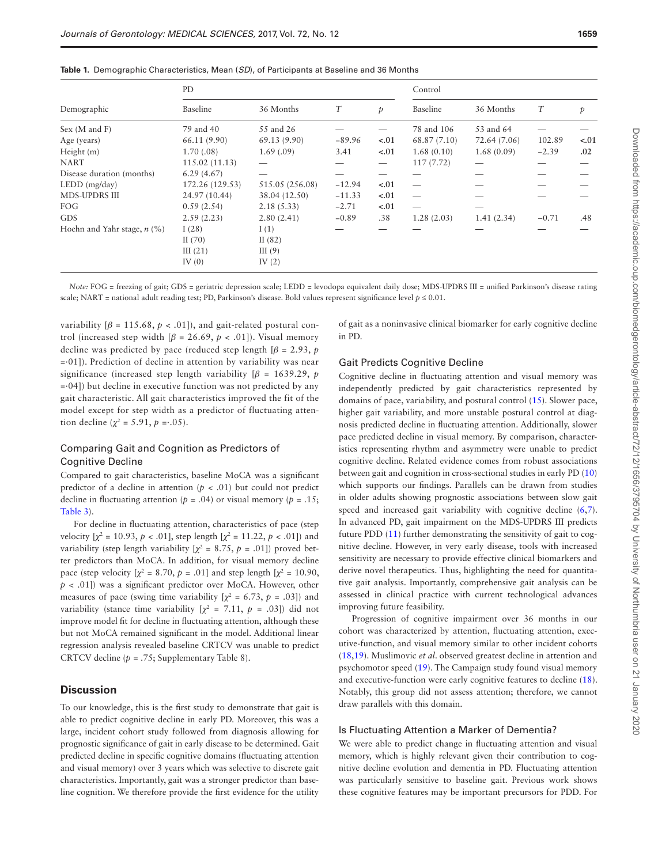|                             | PD.             |                 |          |        | Control      |              |         |        |  |
|-----------------------------|-----------------|-----------------|----------|--------|--------------|--------------|---------|--------|--|
| Demographic                 | Baseline        | 36 Months       | T        | Þ      | Baseline     | 36 Months    | T       | p      |  |
| Sex (M and F)               | 79 and 40       | 55 and 26       |          |        | 78 and 106   | 53 and 64    |         |        |  |
| Age (years)                 | 66.11 (9.90)    | 69.13(9.90)     | $-89.96$ | $-.01$ | 68.87 (7.10) | 72.64 (7.06) | 102.89  | $-.01$ |  |
| Height (m)                  | 1.70(.08)       | 1.69(0.09)      | 3.41     | $-.01$ | 1.68(0.10)   | 1.68(0.09)   | $-2.39$ | .02    |  |
| NART                        | 115.02 (11.13)  |                 |          |        | 117(7.72)    |              |         |        |  |
| Disease duration (months)   | 6.29(4.67)      |                 |          |        |              |              |         |        |  |
| LEDD (mg/day)               | 172.26 (129.53) | 515.05 (256.08) | $-12.94$ | $-.01$ |              |              |         |        |  |
| MDS-UPDRS III               | 24.97 (10.44)   | 38.04 (12.50)   | $-11.33$ | $-.01$ |              |              |         |        |  |
| FOG                         | 0.59(2.54)      | 2.18(5.33)      | $-2.71$  | $-.01$ |              |              |         |        |  |
| <b>GDS</b>                  | 2.59(2.23)      | 2.80(2.41)      | $-0.89$  | .38    | 1.28(2.03)   | 1.41(2.34)   | $-0.71$ | .48    |  |
| Hoehn and Yahr stage, n (%) | I(28)           | I(1)            |          |        |              |              |         |        |  |
|                             | II $(70)$       | II $(82)$       |          |        |              |              |         |        |  |
|                             | III $(21)$      | III $(9)$       |          |        |              |              |         |        |  |
|                             | IV $(0)$        | IV $(2)$        |          |        |              |              |         |        |  |

<span id="page-3-0"></span>**Table 1.** Demographic Characteristics, Mean (*SD*), of Participants at Baseline and 36 Months

*Note:* FOG = freezing of gait; GDS = geriatric depression scale; LEDD = levodopa equivalent daily dose; MDS-UPDRS III = unified Parkinson's disease rating scale; NART = national adult reading test; PD, Parkinson's disease. Bold values represent significance level  $p \le 0.01$ .

variability  $\lbrack \beta = 115.68, p < .01 \rbrack$ , and gait-related postural control (increased step width  $\beta$  = 26.69,  $p < .01$ ). Visual memory decline was predicted by pace (reduced step length  $\beta$  = 2.93, *p*  $=01$ ]). Prediction of decline in attention by variability was near significance (increased step length variability  $\beta$  = 1639.29, *p*  $= 04$ ]) but decline in executive function was not predicted by any gait characteristic. All gait characteristics improved the fit of the model except for step width as a predictor of fluctuating attention decline ( $\chi^2 = 5.91$ ,  $p = .05$ ).

# Comparing Gait and Cognition as Predictors of Cognitive Decline

Compared to gait characteristics, baseline MoCA was a significant predictor of a decline in attention  $(p < .01)$  but could not predict decline in fluctuating attention ( $p = .04$ ) or visual memory ( $p = .15$ ; [Table 3](#page-5-0)).

For decline in fluctuating attention, characteristics of pace (step velocity  $[\chi^2 = 10.93, p < .01]$ , step length  $[\chi^2 = 11.22, p < .01]$ ) and variability (step length variability  $[\chi^2 = 8.75, p = .01]$ ) proved better predictors than MoCA. In addition, for visual memory decline pace (step velocity  $[\chi^2 = 8.70, p = .01]$  and step length  $[\chi^2 = 10.90,$ *p* < .01]) was a significant predictor over MoCA. However, other measures of pace (swing time variability  $[\chi^2 = 6.73, p = .03]$ ) and variability (stance time variability  $[\chi^2 = 7.11, p = .03]$ ) did not improve model fit for decline in fluctuating attention, although these but not MoCA remained significant in the model. Additional linear regression analysis revealed baseline CRTCV was unable to predict CRTCV decline (*p* = .75; Supplementary Table 8).

### **Discussion**

To our knowledge, this is the first study to demonstrate that gait is able to predict cognitive decline in early PD. Moreover, this was a large, incident cohort study followed from diagnosis allowing for prognostic significance of gait in early disease to be determined. Gait predicted decline in specific cognitive domains (fluctuating attention and visual memory) over 3 years which was selective to discrete gait characteristics. Importantly, gait was a stronger predictor than baseline cognition. We therefore provide the first evidence for the utility

of gait as a noninvasive clinical biomarker for early cognitive decline in PD.

#### Gait Predicts Cognitive Decline

Cognitive decline in fluctuating attention and visual memory was independently predicted by gait characteristics represented by domains of pace, variability, and postural control ([15](#page-6-12)). Slower pace, higher gait variability, and more unstable postural control at diagnosis predicted decline in fluctuating attention. Additionally, slower pace predicted decline in visual memory. By comparison, characteristics representing rhythm and asymmetry were unable to predict cognitive decline. Related evidence comes from robust associations between gait and cognition in cross-sectional studies in early PD [\(10\)](#page-6-7) which supports our findings. Parallels can be drawn from studies in older adults showing prognostic associations between slow gait speed and increased gait variability with cognitive decline ([6](#page-6-5),[7](#page-6-15)). In advanced PD, gait impairment on the MDS-UPDRS III predicts future PDD [\(11](#page-6-8)) further demonstrating the sensitivity of gait to cognitive decline. However, in very early disease, tools with increased sensitivity are necessary to provide effective clinical biomarkers and derive novel therapeutics. Thus, highlighting the need for quantitative gait analysis. Importantly, comprehensive gait analysis can be assessed in clinical practice with current technological advances improving future feasibility.

Progression of cognitive impairment over 36 months in our cohort was characterized by attention, fluctuating attention, executive-function, and visual memory similar to other incident cohorts [\(18](#page-6-16)[,19](#page-6-17)). Muslimovic *et al*. observed greatest decline in attention and psychomotor speed [\(19\)](#page-6-17). The Campaign study found visual memory and executive-function were early cognitive features to decline [\(18](#page-6-16)). Notably, this group did not assess attention; therefore, we cannot draw parallels with this domain.

#### Is Fluctuating Attention a Marker of Dementia?

We were able to predict change in fluctuating attention and visual memory, which is highly relevant given their contribution to cognitive decline evolution and dementia in PD. Fluctuating attention was particularly sensitive to baseline gait. Previous work shows these cognitive features may be important precursors for PDD. For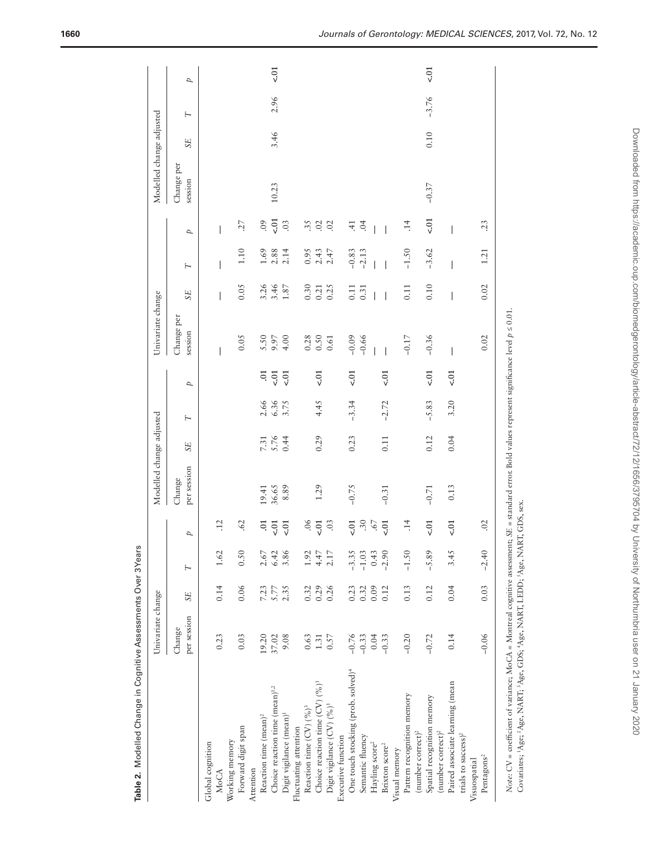|                                                                                                                                                                                                                                                                                                   | Univariate change     |                |         |                 | Modelled change adjusted |                          |         |                | Univariate change        |                          |                                           |                          | Modelled change adjusted |           |         |                |
|---------------------------------------------------------------------------------------------------------------------------------------------------------------------------------------------------------------------------------------------------------------------------------------------------|-----------------------|----------------|---------|-----------------|--------------------------|--------------------------|---------|----------------|--------------------------|--------------------------|-------------------------------------------|--------------------------|--------------------------|-----------|---------|----------------|
|                                                                                                                                                                                                                                                                                                   | per session<br>Change | <b>SE</b>      | H       | Þ               | per session<br>Change    | <b>SE</b>                | H       | Þ              | Change per<br>session    | <b>SE</b>                | Η                                         | Þ                        | Change per<br>session    | <b>SE</b> | H       | Þ              |
| Global cognition<br>MoCA                                                                                                                                                                                                                                                                          | 0.23                  | 0.14           | 1.62    | $\overline{12}$ |                          |                          |         |                | I                        | $\overline{\phantom{a}}$ | $\overline{\phantom{a}}$                  | $\overline{\phantom{a}}$ |                          |           |         |                |
| Forward digit span<br>Working memory                                                                                                                                                                                                                                                              | 0.03                  | 0.06           | 0.50    | .62             |                          |                          |         |                | 0.05                     | 0.05                     | 1.10                                      | 27                       |                          |           |         |                |
| Reaction time (mean) <sup>2</sup><br>Attention                                                                                                                                                                                                                                                    | 19.20                 | 7.23           | 2.67    | 5.              |                          |                          | 2.66    | 5.             | 5.50                     | 3.26                     |                                           | 60                       |                          |           |         |                |
| Choice reaction time (mean) <sup>1,2</sup>                                                                                                                                                                                                                                                        | 37.02                 |                | 6.42    | $\overline{c}$  | 19.41<br>36.65           | $7.31$<br>$5.76$<br>0.44 | 6.36    | $\zeta$ .01    | 9.97                     | 3.46                     | $\frac{3}{2}$ $\frac{8}{2}$ $\frac{4}{2}$ | $\overline{c}$           | 10.23                    | 3.46      | 2.96    | $\overline{5}$ |
| Digit vigilance (mean) <sup>1</sup>                                                                                                                                                                                                                                                               | 9.08                  | $5.77$<br>2.35 | 3.86    | $\overline{c}$  | 8.89                     |                          | 3.75    | $\zeta$ .01    | 4.00                     | 1.87                     |                                           | 03                       |                          |           |         |                |
| Fluctuating attention                                                                                                                                                                                                                                                                             |                       |                |         |                 |                          |                          |         |                |                          |                          |                                           |                          |                          |           |         |                |
| Reaction time (CV) (%) <sup>3</sup>                                                                                                                                                                                                                                                               | 0.63                  | 0.32           | 1.92    | .06             |                          |                          |         |                | 0.28                     | 0.30                     | 0.95                                      | 35                       |                          |           |         |                |
| Choice reaction time $(CV)$ (%) <sup>1</sup>                                                                                                                                                                                                                                                      | 1.31                  | 0.29           | 4.47    | $\zeta$ .01     | 1.29                     | 0.29                     | 4.45    | $\epsilon$ .01 | 0.50                     | 0.21                     | $2.43$<br>$2.47$                          | 02                       |                          |           |         |                |
| Digit vigilance (CV) (%) <sup>1</sup>                                                                                                                                                                                                                                                             | 0.57                  | 0.26           | 2.17    | $\ddot{\circ}$  |                          |                          |         |                | 0.61                     | 0.25                     |                                           | 02                       |                          |           |         |                |
| Executive function                                                                                                                                                                                                                                                                                |                       |                |         |                 |                          |                          |         |                |                          |                          |                                           |                          |                          |           |         |                |
| One touch stocking (prob. solved) <sup>4</sup>                                                                                                                                                                                                                                                    | $-0.76$               | 0.23           | $-3.35$ | $\zeta$ .01     | $-0.75$                  | 0.23                     | $-3.34$ | $\ddot{c}$     | $-0.09$                  | 0.11                     | $-0.83$                                   | $\dot{+}$                |                          |           |         |                |
| Semantic fluency                                                                                                                                                                                                                                                                                  | $-0.33$               | 0.32           | $-1.03$ | $\ddot{.}30$    |                          |                          |         |                | $-0.66$                  | 0.31                     | $-2.13$                                   | $\ddot{\alpha}$          |                          |           |         |                |
| Hayling score <sup>2</sup>                                                                                                                                                                                                                                                                        | 0.04                  | 0.09           | 0.43    | .67             |                          |                          |         |                |                          |                          |                                           |                          |                          |           |         |                |
| Brixton score <sup>2</sup>                                                                                                                                                                                                                                                                        | $-0.33$               | 0.12           | $-2.90$ | $\overline{5}$  | $-0.31$                  | 0.11                     | $-2.72$ | $\zeta$ .      |                          |                          |                                           |                          |                          |           |         |                |
| Visual memory                                                                                                                                                                                                                                                                                     |                       |                |         |                 |                          |                          |         |                |                          |                          |                                           |                          |                          |           |         |                |
| Pattern recognition memory                                                                                                                                                                                                                                                                        | $-0.20$               | 0.13           | $-1.50$ | $\ddot{ }$      |                          |                          |         |                | $-0.17$                  | 0.11                     | $-1.50$                                   | 14                       |                          |           |         |                |
| (number correct) <sup>2</sup>                                                                                                                                                                                                                                                                     |                       |                |         |                 |                          |                          |         |                |                          |                          |                                           |                          |                          |           |         |                |
| Spatial recognition memory                                                                                                                                                                                                                                                                        | $-0.72$               | 0.12           | $-5.89$ | $\zeta$         | $-0.71$                  | 0.12                     | $-5.83$ | $\zeta$ .      | $-0.36$                  | 0.10                     | $-3.62$                                   | $\zeta$ .01              | $-0.37$                  | 0.10      | $-3.76$ | 5.01           |
| (number correct) <sup>2</sup>                                                                                                                                                                                                                                                                     |                       |                |         |                 |                          |                          |         |                |                          |                          |                                           |                          |                          |           |         |                |
| Paired associate learning (mean                                                                                                                                                                                                                                                                   | 0.14                  | 0.04           | 3.45    | $\overline{c}$  | 0.13                     | 0.04                     | 3.20    | $\zeta$ .01    | $\overline{\phantom{a}}$ | $\overline{\phantom{a}}$ | $\overline{\phantom{a}}$                  | $\overline{\phantom{a}}$ |                          |           |         |                |
| trials to success) <sup>2</sup>                                                                                                                                                                                                                                                                   |                       |                |         |                 |                          |                          |         |                |                          |                          |                                           |                          |                          |           |         |                |
| Visuospatial                                                                                                                                                                                                                                                                                      |                       |                |         |                 |                          |                          |         |                |                          |                          |                                           |                          |                          |           |         |                |
| Pentagons <sup>2</sup>                                                                                                                                                                                                                                                                            | $-0.06$               | 0.03           | $-2.40$ | .02             |                          |                          |         |                | 0.02                     | 0.02                     | 1.21                                      | 23                       |                          |           |         |                |
| Note: CV = coefficient of variance; MoCA = Montreal cognitive assessment; SE = standard error. Bold values represent significance level p ≤ 0.01.<br>Covariates; <sup>1</sup> Age; <sup>2</sup> Age, NART; <sup>3</sup> Age, GDS; <sup>4</sup> Age, NART, LEDD; <sup>5</sup> Age, NART, GDS, sex. |                       |                |         |                 |                          |                          |         |                |                          |                          |                                           |                          |                          |           |         |                |
|                                                                                                                                                                                                                                                                                                   |                       |                |         |                 |                          |                          |         |                |                          |                          |                                           |                          |                          |           |         |                |

<span id="page-4-0"></span>Table 2. Modelled Change in Cognitive Assessments Over 3 Years **Table 2.** Modelled Change in Cognitive Assessments Over 3 Years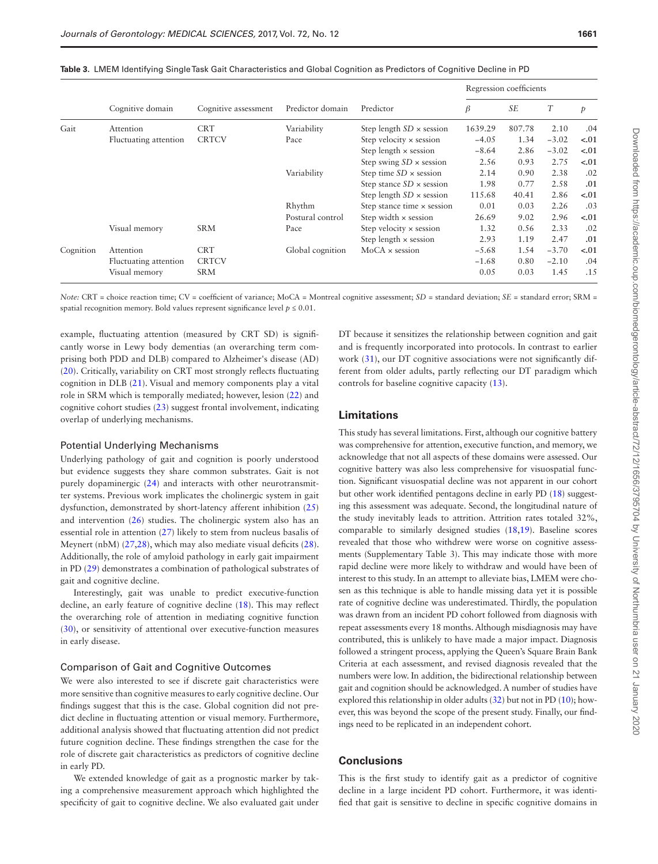|           |                       |                      |                  |                                   | Regression coefficients |           |         |        |
|-----------|-----------------------|----------------------|------------------|-----------------------------------|-------------------------|-----------|---------|--------|
|           | Cognitive domain      | Cognitive assessment | Predictor domain | Predictor                         | β                       | <b>SE</b> | T       | p      |
| Gait      | Attention             | <b>CRT</b>           | Variability      | Step length $SD \times$ session   | 1639.29                 | 807.78    | 2.10    | .04    |
|           | Fluctuating attention | <b>CRTCV</b>         | Pace             | Step velocity $\times$ session    | $-4.05$                 | 1.34      | $-3.02$ | $-.01$ |
|           |                       |                      |                  | Step length $\times$ session      | $-8.64$                 | 2.86      | $-3.02$ | $-.01$ |
|           |                       |                      |                  | Step swing $SD \times$ session    | 2.56                    | 0.93      | 2.75    | $-.01$ |
|           |                       |                      | Variability      | Step time $SD \times$ session     | 2.14                    | 0.90      | 2.38    | .02    |
|           |                       |                      |                  | Step stance $SD \times$ session   | 1.98                    | 0.77      | 2.58    | .01    |
|           |                       |                      |                  | Step length $SD \times$ session   | 115.68                  | 40.41     | 2.86    | $-.01$ |
|           |                       |                      | Rhythm           | Step stance time $\times$ session | 0.01                    | 0.03      | 2.26    | .03    |
|           |                       |                      | Postural control | Step width $\times$ session       | 26.69                   | 9.02      | 2.96    | $-.01$ |
|           | Visual memory         | <b>SRM</b>           | Pace             | Step velocity $\times$ session    | 1.32                    | 0.56      | 2.33    | .02    |
|           |                       |                      |                  | Step length $\times$ session      | 2.93                    | 1.19      | 2.47    | .01    |
| Cognition | Attention             | <b>CRT</b>           | Global cognition | $MoCA \times session$             | $-5.68$                 | 1.54      | $-3.70$ | $-.01$ |
|           | Fluctuating attention | <b>CRTCV</b>         |                  |                                   | $-1.68$                 | 0.80      | $-2.10$ | .04    |
|           | Visual memory         | <b>SRM</b>           |                  |                                   | 0.05                    | 0.03      | 1.45    | .15    |

<span id="page-5-0"></span>**Table 3.** LMEM Identifying Single Task Gait Characteristics and Global Cognition as Predictors of Cognitive Decline in PD

*Note:* CRT = choice reaction time; CV = coefficient of variance; MoCA = Montreal cognitive assessment; *SD* = standard deviation; *SE* = standard error; *SRM* = spatial recognition memory. Bold values represent significance level  $p \leq 0.01$ .

example, fluctuating attention (measured by CRT SD) is significantly worse in Lewy body dementias (an overarching term comprising both PDD and DLB) compared to Alzheimer's disease (AD) [\(20](#page-6-18)). Critically, variability on CRT most strongly reflects fluctuating cognition in DLB ([21\)](#page-6-19). Visual and memory components play a vital role in SRM which is temporally mediated; however, lesion [\(22\)](#page-6-20) and cognitive cohort studies [\(23](#page-6-21)) suggest frontal involvement, indicating overlap of underlying mechanisms.

#### Potential Underlying Mechanisms

Underlying pathology of gait and cognition is poorly understood but evidence suggests they share common substrates. Gait is not purely dopaminergic ([24\)](#page-6-22) and interacts with other neurotransmitter systems. Previous work implicates the cholinergic system in gait dysfunction, demonstrated by short-latency afferent inhibition [\(25\)](#page-6-23) and intervention [\(26\)](#page-6-24) studies. The cholinergic system also has an essential role in attention [\(27](#page-6-25)) likely to stem from nucleus basalis of Meynert (nbM) ([27,](#page-6-25)[28\)](#page-6-26), which may also mediate visual deficits [\(28](#page-6-26)). Additionally, the role of amyloid pathology in early gait impairment in PD ([29\)](#page-6-27) demonstrates a combination of pathological substrates of gait and cognitive decline.

Interestingly, gait was unable to predict executive-function decline, an early feature of cognitive decline ([18\)](#page-6-16). This may reflect the overarching role of attention in mediating cognitive function [\(30](#page-6-28)), or sensitivity of attentional over executive-function measures in early disease.

#### Comparison of Gait and Cognitive Outcomes

We were also interested to see if discrete gait characteristics were more sensitive than cognitive measures to early cognitive decline. Our findings suggest that this is the case. Global cognition did not predict decline in fluctuating attention or visual memory. Furthermore, additional analysis showed that fluctuating attention did not predict future cognition decline. These findings strengthen the case for the role of discrete gait characteristics as predictors of cognitive decline in early PD.

We extended knowledge of gait as a prognostic marker by taking a comprehensive measurement approach which highlighted the specificity of gait to cognitive decline. We also evaluated gait under

DT because it sensitizes the relationship between cognition and gait and is frequently incorporated into protocols. In contrast to earlier work [\(31\)](#page-6-29), our DT cognitive associations were not significantly different from older adults, partly reflecting our DT paradigm which controls for baseline cognitive capacity ([13\)](#page-6-10).

# **Limitations**

This study has several limitations. First, although our cognitive battery was comprehensive for attention, executive function, and memory, we acknowledge that not all aspects of these domains were assessed. Our cognitive battery was also less comprehensive for visuospatial function. Significant visuospatial decline was not apparent in our cohort but other work identified pentagons decline in early PD [\(18\)](#page-6-16) suggesting this assessment was adequate. Second, the longitudinal nature of the study inevitably leads to attrition. Attrition rates totaled 32%, comparable to similarly designed studies ([18](#page-6-16),[19](#page-6-17)). Baseline scores revealed that those who withdrew were worse on cognitive assessments (Supplementary Table 3). This may indicate those with more rapid decline were more likely to withdraw and would have been of interest to this study. In an attempt to alleviate bias, LMEM were chosen as this technique is able to handle missing data yet it is possible rate of cognitive decline was underestimated. Thirdly, the population was drawn from an incident PD cohort followed from diagnosis with repeat assessments every 18 months. Although misdiagnosis may have contributed, this is unlikely to have made a major impact. Diagnosis followed a stringent process, applying the Queen's Square Brain Bank Criteria at each assessment, and revised diagnosis revealed that the numbers were low. In addition, the bidirectional relationship between gait and cognition should be acknowledged. A number of studies have explored this relationship in older adults ([32](#page-6-30)) but not in PD ([10\)](#page-6-7); however, this was beyond the scope of the present study. Finally, our findings need to be replicated in an independent cohort.

# **Conclusions**

This is the first study to identify gait as a predictor of cognitive decline in a large incident PD cohort. Furthermore, it was identified that gait is sensitive to decline in specific cognitive domains in